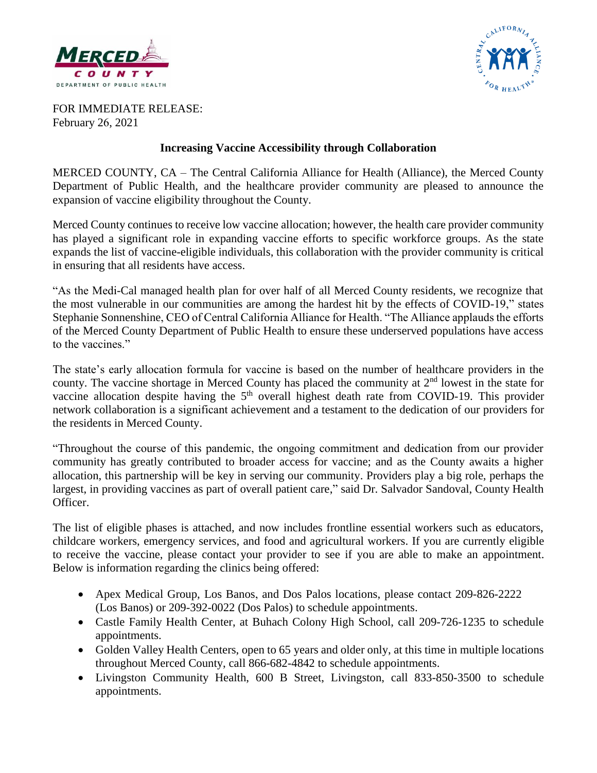



FOR IMMEDIATE RELEASE: February 26, 2021

#### **Increasing Vaccine Accessibility through Collaboration**

MERCED COUNTY, CA – The Central California Alliance for Health (Alliance), the Merced County Department of Public Health, and the healthcare provider community are pleased to announce the expansion of vaccine eligibility throughout the County.

Merced County continues to receive low vaccine allocation; however, the health care provider community has played a significant role in expanding vaccine efforts to specific workforce groups. As the state expands the list of vaccine-eligible individuals, this collaboration with the provider community is critical in ensuring that all residents have access.

"As the Medi-Cal managed health plan for over half of all Merced County residents, we recognize that the most vulnerable in our communities are among the hardest hit by the effects of COVID-19," states Stephanie Sonnenshine, CEO of Central California Alliance for Health. "The Alliance applauds the efforts of the Merced County Department of Public Health to ensure these underserved populations have access to the vaccines."

The state's early allocation formula for vaccine is based on the number of healthcare providers in the county. The vaccine shortage in Merced County has placed the community at  $2<sup>nd</sup>$  lowest in the state for vaccine allocation despite having the  $5<sup>th</sup>$  overall highest death rate from COVID-19. This provider network collaboration is a significant achievement and a testament to the dedication of our providers for the residents in Merced County.

"Throughout the course of this pandemic, the ongoing commitment and dedication from our provider community has greatly contributed to broader access for vaccine; and as the County awaits a higher allocation, this partnership will be key in serving our community. Providers play a big role, perhaps the largest, in providing vaccines as part of overall patient care," said Dr. Salvador Sandoval, County Health Officer.

The list of eligible phases is attached, and now includes frontline essential workers such as educators, childcare workers, emergency services, and food and agricultural workers. If you are currently eligible to receive the vaccine, please contact your provider to see if you are able to make an appointment. Below is information regarding the clinics being offered:

- Apex Medical Group, Los Banos, and Dos Palos locations, please contact 209-826-2222 (Los Banos) or 209-392-0022 (Dos Palos) to schedule appointments.
- Castle Family Health Center, at Buhach Colony High School, call 209-726-1235 to schedule appointments.
- Golden Valley Health Centers, open to 65 years and older only, at this time in multiple locations throughout Merced County, call 866-682-4842 to schedule appointments.
- Livingston Community Health, 600 B Street, Livingston, call 833-850-3500 to schedule appointments.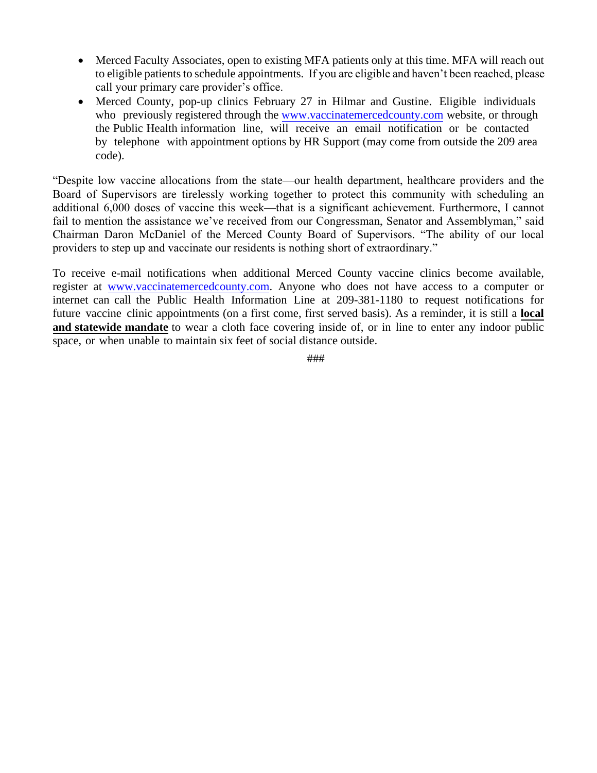- Merced Faculty Associates, open to existing MFA patients only at this time. MFA will reach out to eligible patients to schedule appointments. If you are eligible and haven't been reached, please call your primary care provider's office.
- Merced County, pop-up clinics February 27 in Hilmar and Gustine. Eligible individuals who previously registered through the [www.vaccinatemercedcounty.com](http://www.vaccinatemercedcounty.com/) website, or through the Public Health information line, will receive an email notification or be contacted by telephone with appointment options by HR Support (may come from outside the 209 area code).

"Despite low vaccine allocations from the state—our health department, healthcare providers and the Board of Supervisors are tirelessly working together to protect this community with scheduling an additional 6,000 doses of vaccine this week—that is a significant achievement. Furthermore, I cannot fail to mention the assistance we've received from our Congressman, Senator and Assemblyman," said Chairman Daron McDaniel of the Merced County Board of Supervisors. "The ability of our local providers to step up and vaccinate our residents is nothing short of extraordinary."

To receive e-mail notifications when additional Merced County vaccine clinics become available, register at [www.vaccinatemercedcounty.com.](http://www.vaccinatemercedcounty.com/) Anyone who does not have access to a computer or internet can call the Public Health Information Line at 209-381-1180 to request notifications for future vaccine clinic appointments (on a first come, first served basis). As a reminder, it is still a **local and statewide mandate** to wear a cloth face covering inside of, or in line to enter any indoor public space, or when unable to maintain six feet of social distance outside.

###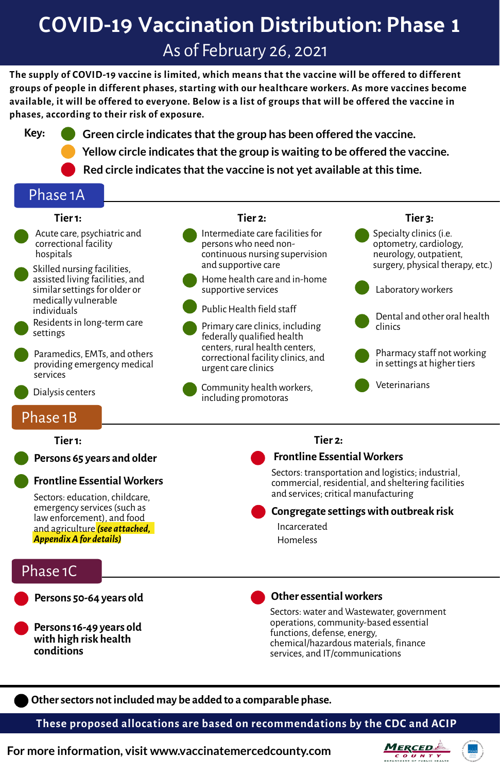### Phase 1A

#### **Persons 65 years and older**

**Persons16-49 years old with high risk health conditions**



**Othersectors notincluded may be added to a comparable phase.**

**These proposed allocations are based on recommendations by the CDC and ACIP**

**For more information, visit www.vaccinatemercedcounty.com**



**The supply of COVID-19 vaccine is limited, which means that the vaccine will be offered to different groups of people in different phases, starting with our healthcare workers. As more vaccines become** available, it will be offered to everyone. Below is a list of groups that will be offered the vaccine in **phases, according to their risk of exposure.**

- Intermediate care facilities for personswho need noncontinuous nursing supervision and supportive care
- Home health care and in-home supportive services



- Public Health field staff
- Primary care clinics, including federally qualified health centers, rural health centers, correctional facility clinics, and urgent care clinics

Specialty clinics (i.e. optometry, cardiology, neurology, outpatient, surgery, physical therapy, etc.)

Pharmacy staff not working in settings at higher tiers

#### **Tier1:**

- Acute care, psychiatric and correctional facility hospitals
- Skilled nursing facilities, assisted living facilities, and similar settings for older or medically vulnerable individuals



Sectors: education, childcare, emergency services(such as lawenforcement), and food and agriculture *(see attached, AppendixAfor details)*

Residentsin long-term care settings





#### **Tier 2: Tier 3:**

# **COVID-19 Vaccination Distribution: Phase 1** As of February 26, 2021



- **Key: Green circle indicates thatthe group has been offered the vaccine.**
	- **Yellow circle indicates thatthe group is waiting to be offered the vaccine.**
	- **Red circle indicates thatthe vaccine is not yet available atthis time.**





Dental and other oral health clinics



## Phase 1B





Sectors:water and Wastewater, government operations,community-based essential functions, defense, energy, chemical/hazardous materials, finance services, and IT/communications

#### **Tier1:**

### **Frontline Essential Workers**

#### **Tier 2:**

### **Frontline Essential Workers**

Sectors: transportation and logistics; industrial, commercial, residential, and sheltering facilities and services;critical manufacturing



#### **Congregate settingswith outbreak risk**

Incarcerated

Homeless